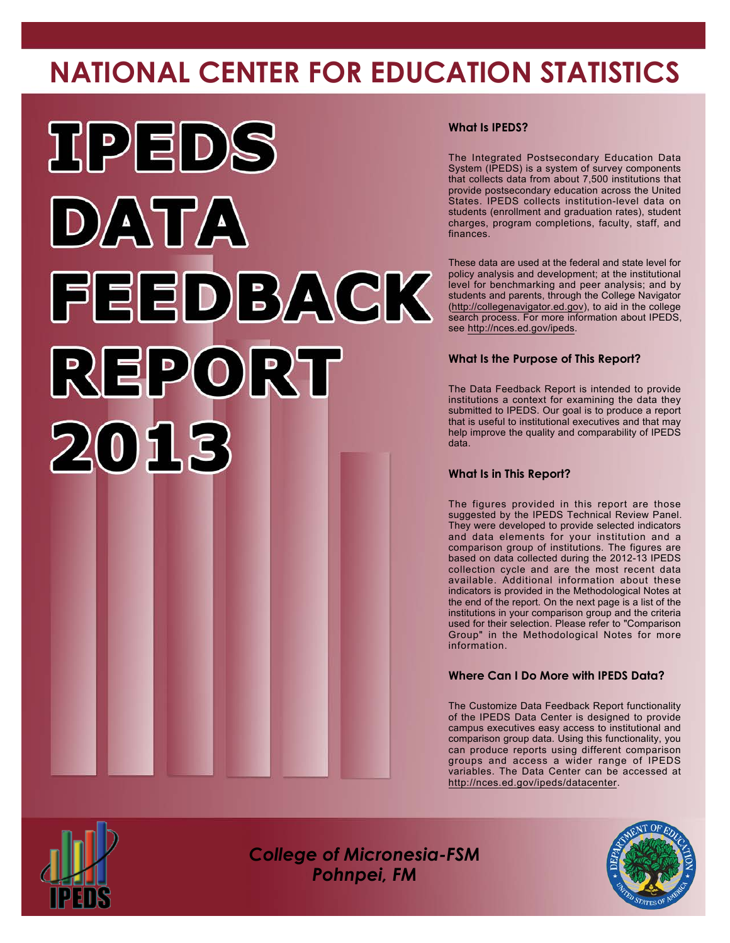# **NATIONAL CENTER FOR EDUCATION STATISTICS**



#### **What Is IPEDS?**

The Integrated Postsecondary Education Data System (IPEDS) is a system of survey components that collects data from about 7,500 institutions that provide postsecondary education across the United States. IPEDS collects institution-level data on students (enrollment and graduation rates), student charges, program completions, faculty, staff, and finances.

These data are used at the federal and state level for policy analysis and development; at the institutional level for benchmarking and peer analysis; and by students and parents, through the College Navigator [\(http://collegenavigator.ed.gov\)](http://collegenavigator.ed.gov), to aid in the college search process. For more information about IPEDS, see <http://nces.ed.gov/ipeds>.

#### **What Is the Purpose of This Report?**

The Data Feedback Report is intended to provide institutions a context for examining the data they submitted to IPEDS. Our goal is to produce a report that is useful to institutional executives and that may help improve the quality and comparability of IPEDS data.

#### **What Is in This Report?**

The figures provided in this report are those suggested by the IPEDS Technical Review Panel. They were developed to provide selected indicators and data elements for your institution and a comparison group of institutions. The figures are based on data collected during the 2012-13 IPEDS collection cycle and are the most recent data available. Additional information about these indicators is provided in the Methodological Notes at the end of the report. On the next page is a list of the institutions in your comparison group and the criteria used for their selection. Please refer to "Comparison Group" in the Methodological Notes for more information.

#### **Where Can I Do More with IPEDS Data?**

The Customize Data Feedback Report functionality of the IPEDS Data Center is designed to provide campus executives easy access to institutional and comparison group data. Using this functionality, you can produce reports using different comparison groups and access a wider range of IPEDS variables. The Data Center can be accessed at <http://nces.ed.gov/ipeds/datacenter>.



*College of Micronesia-FSM Pohnpei, FM*

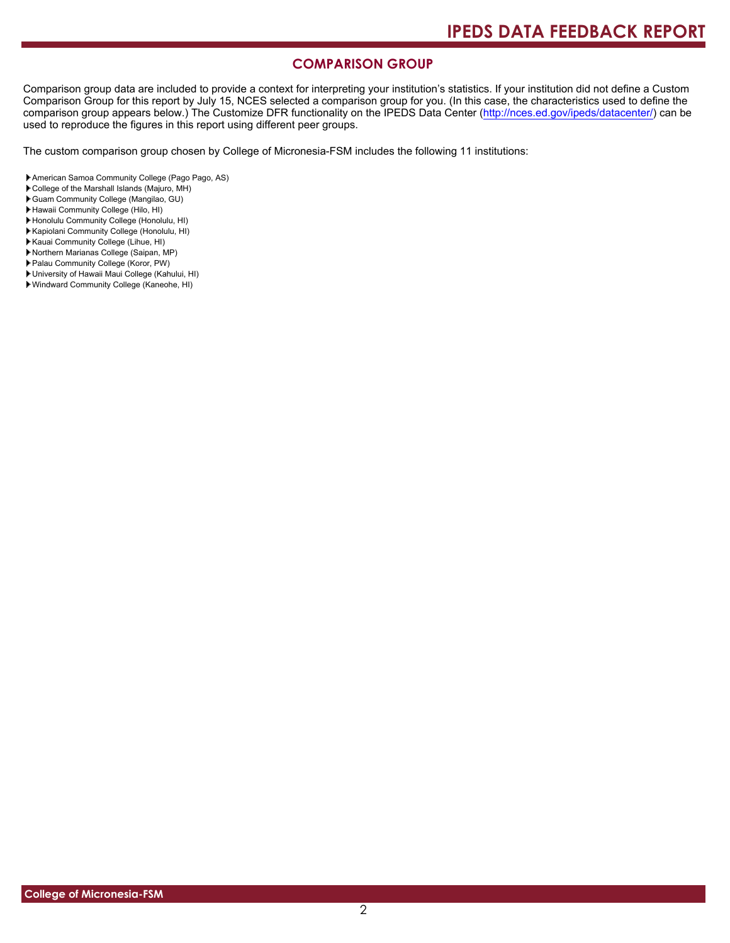#### **COMPARISON GROUP**

Comparison group data are included to provide a context for interpreting your institution's statistics. If your institution did not define a Custom Comparison Group for this report by July 15, NCES selected a comparison group for you. (In this case, the characteristics used to define the comparison group appears below.) The Customize DFR functionality on the IPEDS Data Center [\(http://nces.ed.gov/ipeds/datacenter/\)](http://nces.ed.gov/ipeds/datacenter/) can be used to reproduce the figures in this report using different peer groups.

The custom comparison group chosen by College of Micronesia-FSM includes the following 11 institutions:

- American Samoa Community College (Pago Pago, AS)
- College of the Marshall Islands (Majuro, MH)
- Guam Community College (Mangilao, GU)
- Hawaii Community College (Hilo, HI)
- Honolulu Community College (Honolulu, HI)
- Kapiolani Community College (Honolulu, HI)
- Kauai Community College (Lihue, HI)
- Northern Marianas College (Saipan, MP)
- Palau Community College (Koror, PW)
- University of Hawaii Maui College (Kahului, HI)
- Windward Community College (Kaneohe, HI)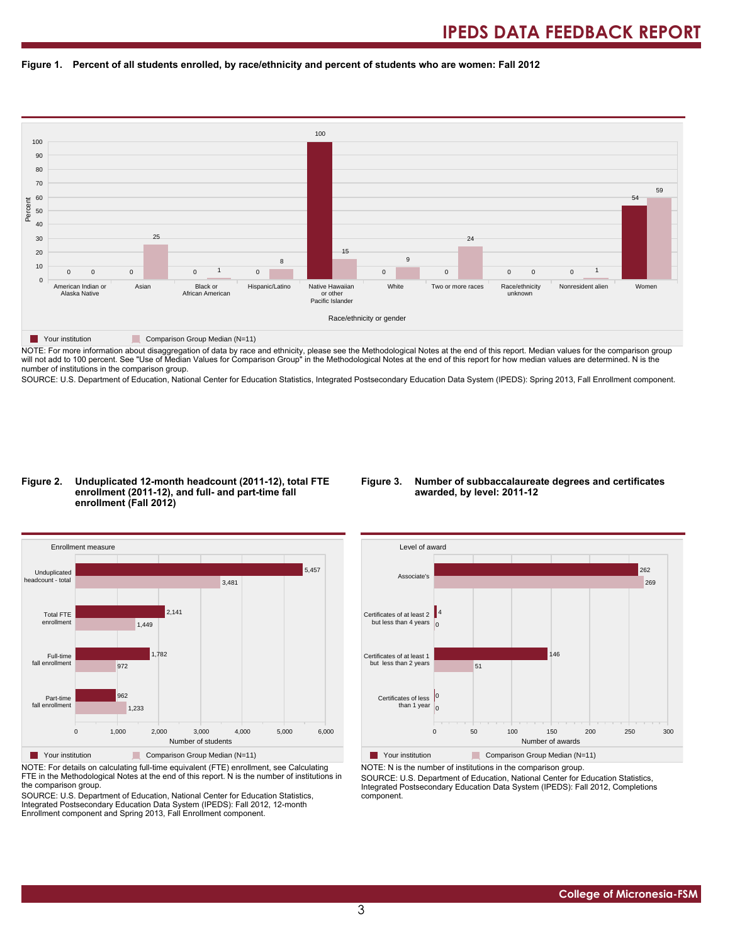#### **Figure 1. Percent of all students enrolled, by race/ethnicity and percent of students who are women: Fall 2012**



NOTE: For more information about disaggregation of data by race and ethnicity, please see the Methodological Notes at the end of this report. Median values for the comparison group will not add to 100 percent. See "Use of Median Values for Comparison Group" in the Methodological Notes at the end of this report for how median values are determined. N is the number of institutions in the comparison group.

SOURCE: U.S. Department of Education, National Center for Education Statistics, Integrated Postsecondary Education Data System (IPEDS): Spring 2013, Fall Enrollment component.

#### **Figure 2. Unduplicated 12-month headcount (2011-12), total FTE enrollment (2011-12), and full- and part-time fall enrollment (Fall 2012)**

#### **Figure 3. Number of subbaccalaureate degrees and certificates awarded, by level: 2011-12**



NOTE: For details on calculating full-time equivalent (FTE) enrollment, see Calculating FTE in the Methodological Notes at the end of this report. N is the number of institutions in the comparison group.

SOURCE: U.S. Department of Education, National Center for Education Statistics, Integrated Postsecondary Education Data System (IPEDS): Fall 2012, 12-month Enrollment component and Spring 2013, Fall Enrollment component.



Your institution Comparison Group Median (N=11) NOTE: N is the number of institutions in the comparison group.

SOURCE: U.S. Department of Education, National Center for Education Statistics, Integrated Postsecondary Education Data System (IPEDS): Fall 2012, Completions component.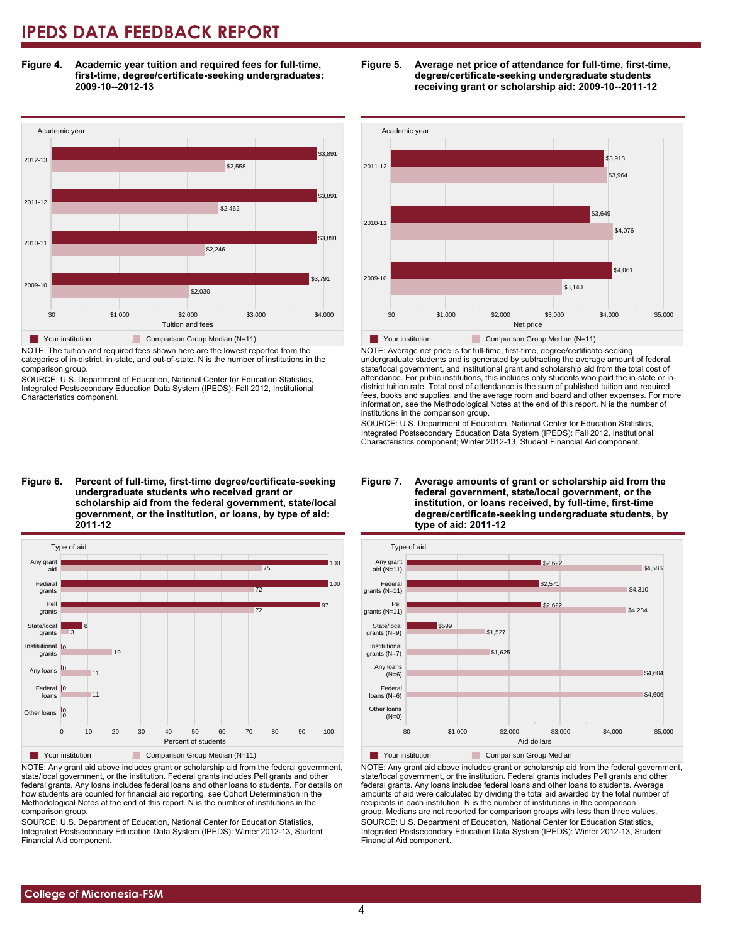**Figure 4. Academic year tuition and required fees for full-time, first-time, degree/certificate-seeking undergraduates: 2009-10--2012-13**



NOTE: The tuition and required fees shown here are the lowest reported from the categories of in-district, in-state, and out-of-state. N is the number of institutions in the comparison group.

SOURCE: U.S. Department of Education, National Center for Education Statistics, Integrated Postsecondary Education Data System (IPEDS): Fall 2012, Institutional Characteristics component.

**Figure 6. Percent of full-time, first-time degree/certificate-seeking undergraduate students who received grant or scholarship aid from the federal government, state/local government, or the institution, or loans, by type of aid: 2011-12**



NOTE: Any grant aid above includes grant or scholarship aid from the federal government, state/local government, or the institution. Federal grants includes Pell grants and other federal grants. Any loans includes federal loans and other loans to students. For details on how students are counted for financial aid reporting, see Cohort Determination in the Methodological Notes at the end of this report. N is the number of institutions in the comparison group.

SOURCE: U.S. Department of Education, National Center for Education Statistics, Integrated Postsecondary Education Data System (IPEDS): Winter 2012-13, Student Financial Aid component.





NOTE: Average net price is for full-time, first-time, degree/certificate-seeking undergraduate students and is generated by subtracting the average amount of federal, state/local government, and institutional grant and scholarship aid from the total cost of attendance. For public institutions, this includes only students who paid the in-state or indistrict tuition rate. Total cost of attendance is the sum of published tuition and required fees, books and supplies, and the average room and board and other expenses. For more information, see the Methodological Notes at the end of this report. N is the number of institutions in the comparison group.

SOURCE: U.S. Department of Education, National Center for Education Statistics, Integrated Postsecondary Education Data System (IPEDS): Fall 2012, Institutional Characteristics component; Winter 2012-13, Student Financial Aid component.





NOTE: Any grant aid above includes grant or scholarship aid from the federal government, state/local government, or the institution. Federal grants includes Pell grants and other federal grants. Any loans includes federal loans and other loans to students. Average amounts of aid were calculated by dividing the total aid awarded by the total number of recipients in each institution. N is the number of institutions in the comparison group. Medians are not reported for comparison groups with less than three values. SOURCE: U.S. Department of Education, National Center for Education Statistics, Integrated Postsecondary Education Data System (IPEDS): Winter 2012-13, Student Financial Aid component.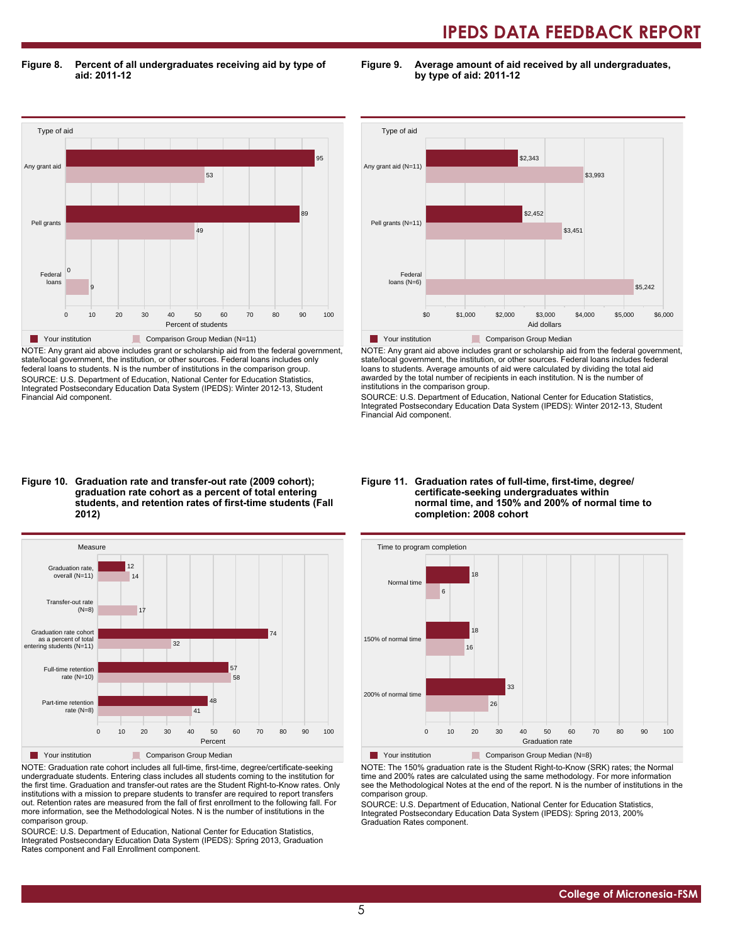**Figure 8. Percent of all undergraduates receiving aid by type of aid: 2011-12**

**Figure 9. Average amount of aid received by all undergraduates, by type of aid: 2011-12**



NOTE: Any grant aid above includes grant or scholarship aid from the federal government, state/local government, the institution, or other sources. Federal loans includes only federal loans to students. N is the number of institutions in the comparison group. SOURCE: U.S. Department of Education, National Center for Education Statistics, Integrated Postsecondary Education Data System (IPEDS): Winter 2012-13, Student Financial Aid component.



NOTE: Any grant aid above includes grant or scholarship aid from the federal government, state/local government, the institution, or other sources. Federal loans includes federal loans to students. Average amounts of aid were calculated by dividing the total aid awarded by the total number of recipients in each institution. N is the number of institutions in the comparison group.

SOURCE: U.S. Department of Education, National Center for Education Statistics, Integrated Postsecondary Education Data System (IPEDS): Winter 2012-13, Student Financial Aid component.

#### **Figure 10. Graduation rate and transfer-out rate (2009 cohort); graduation rate cohort as a percent of total entering students, and retention rates of first-time students (Fall 2012)**



NOTE: Graduation rate cohort includes all full-time, first-time, degree/certificate-seeking undergraduate students. Entering class includes all students coming to the institution for the first time. Graduation and transfer-out rates are the Student Right-to-Know rates. Only institutions with a mission to prepare students to transfer are required to report transfers out. Retention rates are measured from the fall of first enrollment to the following fall. For more information, see the Methodological Notes. N is the number of institutions in the comparison group.

SOURCE: U.S. Department of Education, National Center for Education Statistics, Integrated Postsecondary Education Data System (IPEDS): Spring 2013, Graduation Rates component and Fall Enrollment component.

#### **Figure 11. Graduation rates of full-time, first-time, degree/ certificate-seeking undergraduates within normal time, and 150% and 200% of normal time to completion: 2008 cohort**



Your institution Comparison Group Median (N=8)

NOTE: The 150% graduation rate is the Student Right-to-Know (SRK) rates; the Normal time and 200% rates are calculated using the same methodology. For more information see the Methodological Notes at the end of the report. N is the number of institutions in the comparison group.

SOURCE: U.S. Department of Education, National Center for Education Statistics, Integrated Postsecondary Education Data System (IPEDS): Spring 2013, 200% Graduation Rates component.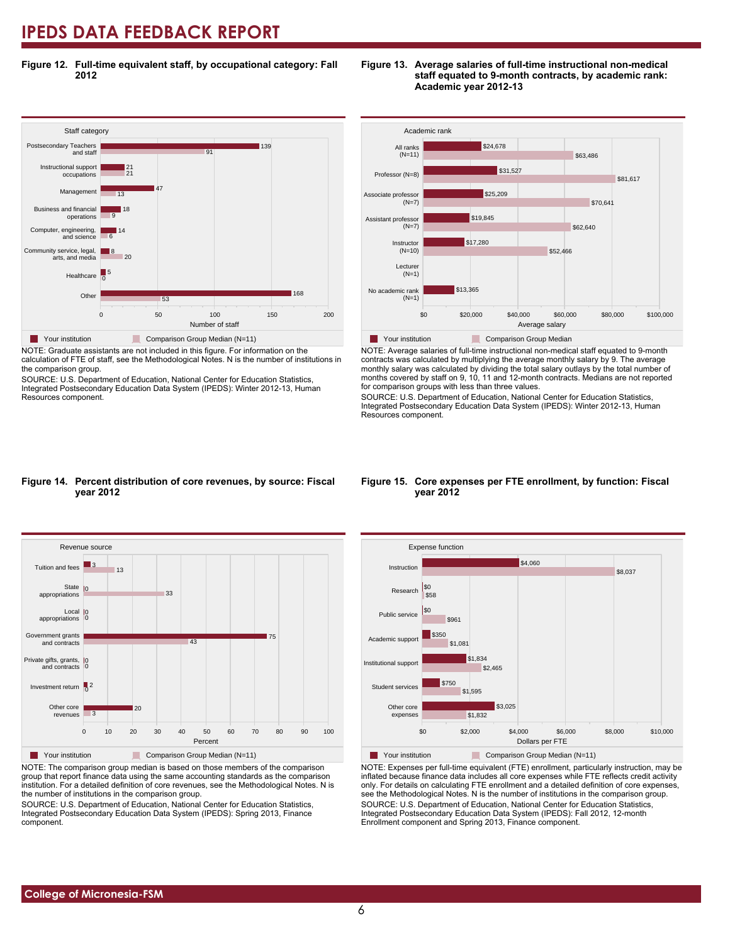**Figure 12. Full-time equivalent staff, by occupational category: Fall 2012**



NOTE: Graduate assistants are not included in this figure. For information on the calculation of FTE of staff, see the Methodological Notes. N is the number of institutions in the comparison group.

SOURCE: U.S. Department of Education, National Center for Education Statistics, Integrated Postsecondary Education Data System (IPEDS): Winter 2012-13, Human Resources component.

#### **Figure 13. Average salaries of full-time instructional non-medical staff equated to 9-month contracts, by academic rank: Academic year 2012-13**



NOTE: Average salaries of full-time instructional non-medical staff equated to 9-month contracts was calculated by multiplying the average monthly salary by 9. The average monthly salary was calculated by dividing the total salary outlays by the total number of months covered by staff on 9, 10, 11 and 12-month contracts. Medians are not reported for comparison groups with less than three values.

SOURCE: U.S. Department of Education, National Center for Education Statistics, Integrated Postsecondary Education Data System (IPEDS): Winter 2012-13, Human Resources component.

#### **Figure 14. Percent distribution of core revenues, by source: Fiscal year 2012**



NOTE: The comparison group median is based on those members of the comparison group that report finance data using the same accounting standards as the comparison institution. For a detailed definition of core revenues, see the Methodological Notes. N is the number of institutions in the comparison group.

SOURCE: U.S. Department of Education, National Center for Education Statistics, Integrated Postsecondary Education Data System (IPEDS): Spring 2013, Finance component.

#### **Figure 15. Core expenses per FTE enrollment, by function: Fiscal year 2012**



NOTE: Expenses per full-time equivalent (FTE) enrollment, particularly instruction, may be inflated because finance data includes all core expenses while FTE reflects credit activity only. For details on calculating FTE enrollment and a detailed definition of core expenses, see the Methodological Notes. N is the number of institutions in the comparison group. SOURCE: U.S. Department of Education, National Center for Education Statistics, Integrated Postsecondary Education Data System (IPEDS): Fall 2012, 12-month Enrollment component and Spring 2013, Finance component.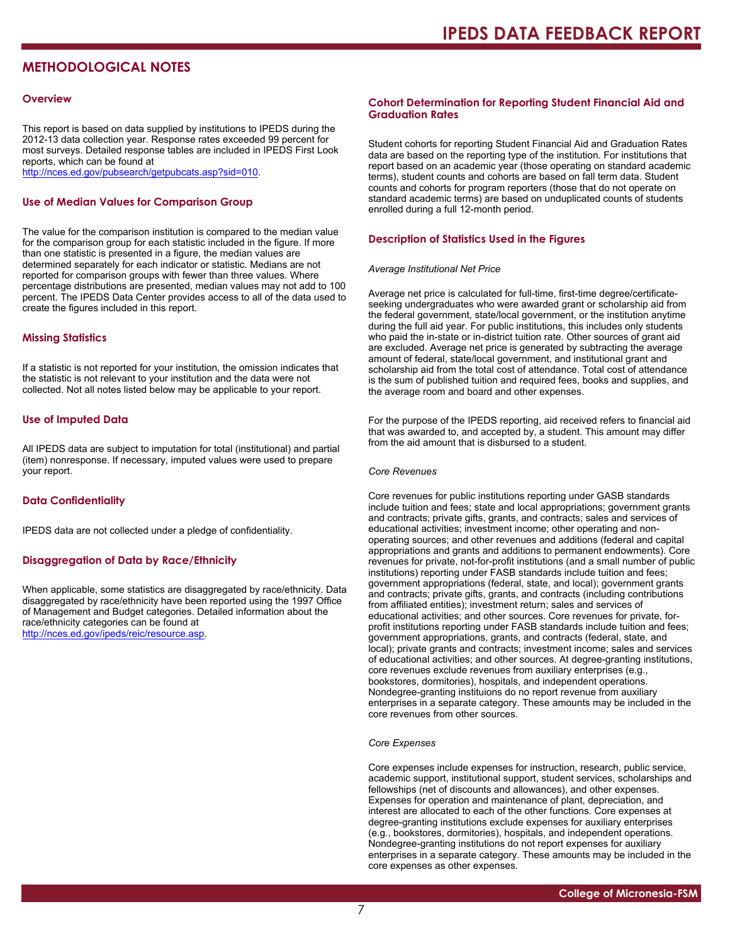### **METHODOLOGICAL NOTES**

#### **Overview**

This report is based on data supplied by institutions to IPEDS during the 2012-13 data collection year. Response rates exceeded 99 percent for most surveys. Detailed response tables are included in IPEDS First Look reports, which can be found at [http://nces.ed.gov/pubsearch/getpubcats.asp?sid=010.](http://nces.ed.gov/pubsearch/getpubcats.asp?sid=010)

#### **Use of Median Values for Comparison Group**

The value for the comparison institution is compared to the median value for the comparison group for each statistic included in the figure. If more than one statistic is presented in a figure, the median values are determined separately for each indicator or statistic. Medians are not reported for comparison groups with fewer than three values. Where percentage distributions are presented, median values may not add to 100 percent. The IPEDS Data Center provides access to all of the data used to create the figures included in this report.

#### **Missing Statistics**

If a statistic is not reported for your institution, the omission indicates that the statistic is not relevant to your institution and the data were not collected. Not all notes listed below may be applicable to your report.

#### **Use of Imputed Data**

All IPEDS data are subject to imputation for total (institutional) and partial (item) nonresponse. If necessary, imputed values were used to prepare your report.

#### **Data Confidentiality**

IPEDS data are not collected under a pledge of confidentiality.

#### **Disaggregation of Data by Race/Ethnicity**

When applicable, some statistics are disaggregated by race/ethnicity. Data disaggregated by race/ethnicity have been reported using the 1997 Office of Management and Budget categories. Detailed information about the race/ethnicity categories can be found at <http://nces.ed.gov/ipeds/reic/resource.asp>.

#### **Cohort Determination for Reporting Student Financial Aid and Graduation Rates**

Student cohorts for reporting Student Financial Aid and Graduation Rates data are based on the reporting type of the institution. For institutions that report based on an academic year (those operating on standard academic terms), student counts and cohorts are based on fall term data. Student counts and cohorts for program reporters (those that do not operate on standard academic terms) are based on unduplicated counts of students enrolled during a full 12-month period.

#### **Description of Statistics Used in the Figures**

#### *Average Institutional Net Price*

Average net price is calculated for full-time, first-time degree/certificateseeking undergraduates who were awarded grant or scholarship aid from the federal government, state/local government, or the institution anytime during the full aid year. For public institutions, this includes only students who paid the in-state or in-district tuition rate. Other sources of grant aid are excluded. Average net price is generated by subtracting the average amount of federal, state/local government, and institutional grant and scholarship aid from the total cost of attendance. Total cost of attendance is the sum of published tuition and required fees, books and supplies, and the average room and board and other expenses.

For the purpose of the IPEDS reporting, aid received refers to financial aid that was awarded to, and accepted by, a student. This amount may differ from the aid amount that is disbursed to a student.

#### *Core Revenues*

Core revenues for public institutions reporting under GASB standards include tuition and fees; state and local appropriations; government grants and contracts; private gifts, grants, and contracts; sales and services of educational activities; investment income; other operating and nonoperating sources; and other revenues and additions (federal and capital appropriations and grants and additions to permanent endowments). Core revenues for private, not-for-profit institutions (and a small number of public institutions) reporting under FASB standards include tuition and fees; government appropriations (federal, state, and local); government grants and contracts; private gifts, grants, and contracts (including contributions from affiliated entities); investment return; sales and services of educational activities; and other sources. Core revenues for private, forprofit institutions reporting under FASB standards include tuition and fees; government appropriations, grants, and contracts (federal, state, and local); private grants and contracts; investment income; sales and services of educational activities; and other sources. At degree-granting institutions, core revenues exclude revenues from auxiliary enterprises (e.g., bookstores, dormitories), hospitals, and independent operations. Nondegree-granting instituions do no report revenue from auxiliary enterprises in a separate category. These amounts may be included in the core revenues from other sources.

#### *Core Expenses*

Core expenses include expenses for instruction, research, public service, academic support, institutional support, student services, scholarships and fellowships (net of discounts and allowances), and other expenses. Expenses for operation and maintenance of plant, depreciation, and interest are allocated to each of the other functions. Core expenses at degree-granting institutions exclude expenses for auxiliary enterprises (e.g., bookstores, dormitories), hospitals, and independent operations. Nondegree-granting institutions do not report expenses for auxiliary enterprises in a separate category. These amounts may be included in the core expenses as other expenses.